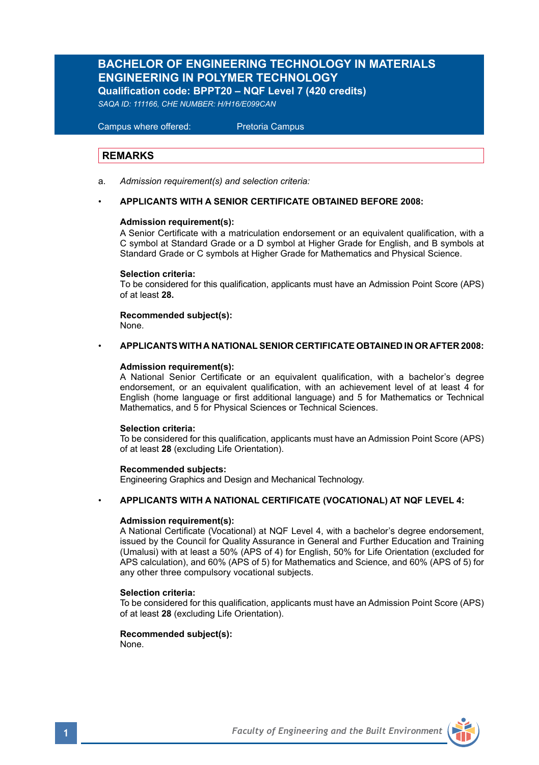# **BACHELOR OF ENGINEERING TECHNOLOGY IN MATERIALS ENGINEERING IN POLYMER TECHNOLOGY Qualification code: BPPT20 – NQF Level 7 (420 credits)**

*SAQA ID: 111166, CHE NUMBER: H/H16/E099CAN* 

 Campus where offered: Pretoria Campus

## **REMARKS**

a. *Admission requirement(s) and selection criteria:*

### • **APPLICANTS WITH A SENIOR CERTIFICATE OBTAINED BEFORE 2008:**

## **Admission requirement(s):**

A Senior Certificate with a matriculation endorsement or an equivalent qualification, with a C symbol at Standard Grade or a D symbol at Higher Grade for English, and B symbols at Standard Grade or C symbols at Higher Grade for Mathematics and Physical Science.

### **Selection criteria:**

To be considered for this qualification, applicants must have an Admission Point Score (APS) of at least **28.**

**Recommended subject(s):** None.

# • **APPLICANTS WITH A NATIONAL SENIOR CERTIFICATE OBTAINED IN OR AFTER 2008:**

### **Admission requirement(s):**

A National Senior Certificate or an equivalent qualification, with a bachelor's degree endorsement, or an equivalent qualification, with an achievement level of at least 4 for English (home language or first additional language) and 5 for Mathematics or Technical Mathematics, and 5 for Physical Sciences or Technical Sciences.

### **Selection criteria:**

To be considered for this qualification, applicants must have an Admission Point Score (APS) of at least **28** (excluding Life Orientation).

### **Recommended subjects:**

Engineering Graphics and Design and Mechanical Technology.

### • **APPLICANTS WITH A NATIONAL CERTIFICATE (VOCATIONAL) AT NQF LEVEL 4:**

### **Admission requirement(s):**

A National Certificate (Vocational) at NQF Level 4, with a bachelor's degree endorsement, issued by the Council for Quality Assurance in General and Further Education and Training (Umalusi) with at least a 50% (APS of 4) for English, 50% for Life Orientation (excluded for APS calculation), and 60% (APS of 5) for Mathematics and Science, and 60% (APS of 5) for any other three compulsory vocational subjects.

### **Selection criteria:**

To be considered for this qualification, applicants must have an Admission Point Score (APS) of at least **28** (excluding Life Orientation).

## **Recommended subject(s):**

None.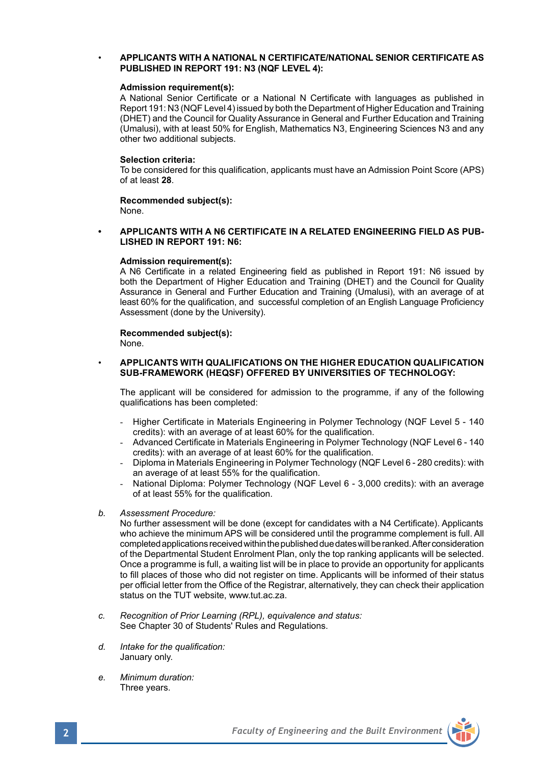## • **APPLICANTS WITH A NATIONAL N CERTIFICATE/NATIONAL SENIOR CERTIFICATE AS PUBLISHED IN REPORT 191: N3 (NQF LEVEL 4):**

### **Admission requirement(s):**

A National Senior Certificate or a National N Certificate with languages as published in Report 191: N3 (NQF Level 4) issued by both the Department of Higher Education and Training (DHET) and the Council for Quality Assurance in General and Further Education and Training (Umalusi), with at least 50% for English, Mathematics N3, Engineering Sciences N3 and any other two additional subjects.

### **Selection criteria:**

To be considered for this qualification, applicants must have an Admission Point Score (APS) of at least **28**.

**Recommended subject(s):** None.

### **• APPLICANTS WITH A N6 CERTIFICATE IN A RELATED ENGINEERING FIELD AS PUB-LISHED IN REPORT 191: N6:**

### **Admission requirement(s):**

A N6 Certificate in a related Engineering field as published in Report 191: N6 issued by both the Department of Higher Education and Training (DHET) and the Council for Quality Assurance in General and Further Education and Training (Umalusi), with an average of at least 60% for the qualification, and successful completion of an English Language Proficiency Assessment (done by the University).

### **Recommended subject(s):**

None.

### • **APPLICANTS WITH QUALIFICATIONS ON THE HIGHER EDUCATION QUALIFICATION SUB-FRAMEWORK (HEQSF) OFFERED BY UNIVERSITIES OF TECHNOLOGY:**

The applicant will be considered for admission to the programme, if any of the following qualifications has been completed:

- Higher Certificate in Materials Engineering in Polymer Technology (NQF Level 5 140 credits): with an average of at least 60% for the qualification.
- Advanced Certificate in Materials Engineering in Polymer Technology (NQF Level 6 140 credits): with an average of at least 60% for the qualification.
- Diploma in Materials Engineering in Polymer Technology (NQF Level 6 280 credits): with an average of at least 55% for the qualification.
- National Diploma: Polymer Technology (NQF Level 6 3,000 credits): with an average of at least 55% for the qualification.
- *b. Assessment Procedure:*

No further assessment will be done (except for candidates with a N4 Certificate). Applicants who achieve the minimum APS will be considered until the programme complement is full. All completed applications received within the published due dates will be ranked. After consideration of the Departmental Student Enrolment Plan, only the top ranking applicants will be selected. Once a programme is full, a waiting list will be in place to provide an opportunity for applicants to fill places of those who did not register on time. Applicants will be informed of their status per official letter from the Office of the Registrar, alternatively, they can check their application status on the TUT website, www.tut.ac.za.

- *c. Recognition of Prior Learning (RPL), equivalence and status:* See Chapter 30 of Students' Rules and Regulations.
- *d. Intake for the qualification:* January only.
- *e. Minimum duration:* Three years.

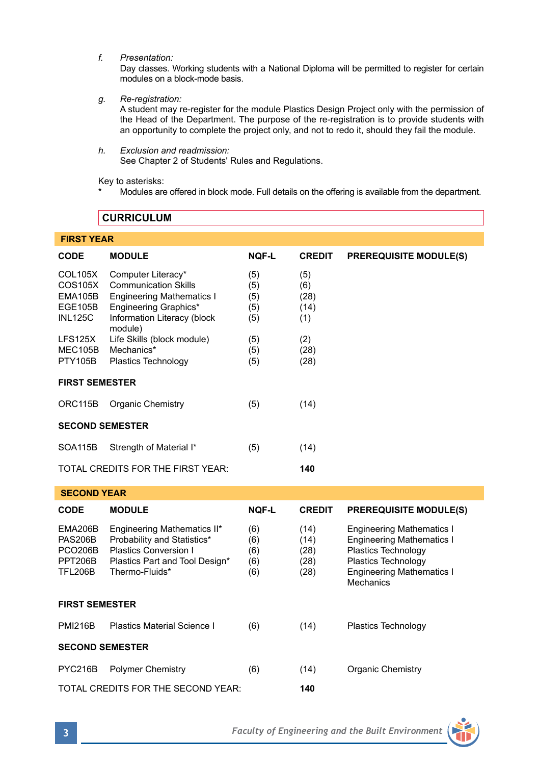*f. Presentation:*

Day classes. Working students with a National Diploma will be permitted to register for certain modules on a block-mode basis.

*g. Re-registration:*

A student may re-register for the module Plastics Design Project only with the permission of the Head of the Department. The purpose of the re-registration is to provide students with an opportunity to complete the project only, and not to redo it, should they fail the module.

*h. Exclusion and readmission:* See Chapter 2 of Students' Rules and Regulations.

Key to asterisks:

Modules are offered in block mode. Full details on the offering is available from the department.

# **CURRICULUM**

# **FIRST YEAR**

| <b>CODE</b>                                                              | <b>MODULE</b>                                                                                                                                            | <b>NOF-L</b>                    | <b>CREDIT</b>                        | <b>PREREQUISITE MODULE(S)</b>                                                                                                                                       |  |  |  |
|--------------------------------------------------------------------------|----------------------------------------------------------------------------------------------------------------------------------------------------------|---------------------------------|--------------------------------------|---------------------------------------------------------------------------------------------------------------------------------------------------------------------|--|--|--|
| <b>COL105X</b><br>COS105X<br>EMA105B<br><b>EGE105B</b><br><b>INL125C</b> | Computer Literacy*<br><b>Communication Skills</b><br><b>Engineering Mathematics I</b><br>Engineering Graphics*<br>Information Literacy (block<br>module) | (5)<br>(5)<br>(5)<br>(5)<br>(5) | (5)<br>(6)<br>(28)<br>(14)<br>(1)    |                                                                                                                                                                     |  |  |  |
| LFS125X<br>MEC105B<br><b>PTY105B</b>                                     | Life Skills (block module)<br>Mechanics*<br>Plastics Technology                                                                                          | (5)<br>(5)<br>(5)               | (2)<br>(28)<br>(28)                  |                                                                                                                                                                     |  |  |  |
| <b>FIRST SEMESTER</b>                                                    |                                                                                                                                                          |                                 |                                      |                                                                                                                                                                     |  |  |  |
| ORC115B                                                                  | Organic Chemistry                                                                                                                                        | (5)                             | (14)                                 |                                                                                                                                                                     |  |  |  |
| <b>SECOND SEMESTER</b>                                                   |                                                                                                                                                          |                                 |                                      |                                                                                                                                                                     |  |  |  |
| <b>SOA115B</b>                                                           | Strength of Material I*                                                                                                                                  | (5)                             | (14)                                 |                                                                                                                                                                     |  |  |  |
|                                                                          | TOTAL CREDITS FOR THE FIRST YEAR:                                                                                                                        |                                 | 140                                  |                                                                                                                                                                     |  |  |  |
| <b>SECOND YEAR</b>                                                       |                                                                                                                                                          |                                 |                                      |                                                                                                                                                                     |  |  |  |
| <b>CODE</b>                                                              | <b>MODULE</b>                                                                                                                                            | <b>NOF-L</b>                    | <b>CREDIT</b>                        | <b>PREREQUISITE MODULE(S)</b>                                                                                                                                       |  |  |  |
| EMA206B<br><b>PAS206B</b><br><b>PCO206B</b><br>PPT206B<br><b>TFL206B</b> | Engineering Mathematics II*<br>Probability and Statistics*<br><b>Plastics Conversion I</b><br>Plastics Part and Tool Design*<br>Thermo-Fluids*           | (6)<br>(6)<br>(6)<br>(6)<br>(6) | (14)<br>(14)<br>(28)<br>(28)<br>(28) | <b>Engineering Mathematics I</b><br><b>Engineering Mathematics I</b><br>Plastics Technology<br>Plastics Technology<br><b>Engineering Mathematics I</b><br>Mechanics |  |  |  |
| <b>FIRST SEMESTER</b>                                                    |                                                                                                                                                          |                                 |                                      |                                                                                                                                                                     |  |  |  |
| <b>PMI216B</b>                                                           | <b>Plastics Material Science I</b>                                                                                                                       | (6)                             | (14)                                 | Plastics Technology                                                                                                                                                 |  |  |  |
| <b>SECOND SEMESTER</b>                                                   |                                                                                                                                                          |                                 |                                      |                                                                                                                                                                     |  |  |  |
| PYC216B                                                                  | <b>Polymer Chemistry</b>                                                                                                                                 | (6)                             | (14)                                 | Organic Chemistry                                                                                                                                                   |  |  |  |
|                                                                          | TOTAL CREDITS FOR THE SECOND YEAR:                                                                                                                       |                                 | 140                                  |                                                                                                                                                                     |  |  |  |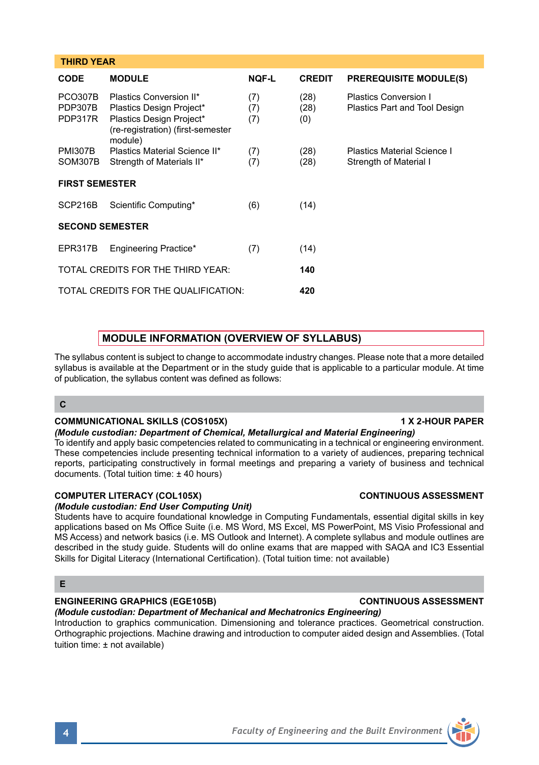| ٢ |  |
|---|--|

# **THIRD YEAR CODE MODULE NQF-L CREDIT PREREQUISITE MODULE(S)** PCO307B Plastics Conversion II\* (7) (28) Plastics Conversion I<br>PDP307B Plastics Design Project\* (7) (28) Plastics Part and Too PDP307B Plastics Design Project\* (7) (28) Plastics Part and Tool Design<br>PDP317R Plastics Design Project\* (7) (0) Plastics Design Project\* (7) (0) (re-registration) (first-semester module) PMI307B Plastics Material Science II\* (7) (28) Plastics Material Science I<br>SOM307B Strength of Materials II\* (7) (28) Strength of Material I SOM307B Strength of Materials II\* **FIRST SEMESTER** SCP216B Scientific Computing\* (6) (14) **SECOND SEMESTER** EPR317B Engineering Practice\* (7) (14) TOTAL CREDITS FOR THE THIRD YEAR: **140** TOTAL CREDITS FOR THE QUALIFICATION: **420**

# **MODULE INFORMATION (OVERVIEW OF SYLLABUS)**

The syllabus content is subject to change to accommodate industry changes. Please note that a more detailed syllabus is available at the Department or in the study guide that is applicable to a particular module. At time of publication, the syllabus content was defined as follows:

# **C**

# **COMMUNICATIONAL SKILLS (COS105X)** 1 X 2-HOUR PAPER

# *(Module custodian: Department of Chemical, Metallurgical and Material Engineering)*

To identify and apply basic competencies related to communicating in a technical or engineering environment. These competencies include presenting technical information to a variety of audiences, preparing technical reports, participating constructively in formal meetings and preparing a variety of business and technical documents. (Total tuition time: ± 40 hours)

# **COMPUTER LITERACY (COL105X) CONTINUOUS ASSESSMENT**

# *(Module custodian: End User Computing Unit)*

Students have to acquire foundational knowledge in Computing Fundamentals, essential digital skills in key applications based on Ms Office Suite (i.e. MS Word, MS Excel, MS PowerPoint, MS Visio Professional and MS Access) and network basics (i.e. MS Outlook and Internet). A complete syllabus and module outlines are described in the study guide. Students will do online exams that are mapped with SAQA and IC3 Essential Skills for Digital Literacy (International Certification). (Total tuition time: not available)

# **E**

# **ENGINEERING GRAPHICS (EGE105B) CONTINUOUS ASSESSMENT**

# *(Module custodian: Department of Mechanical and Mechatronics Engineering)*

Introduction to graphics communication. Dimensioning and tolerance practices. Geometrical construction. Orthographic projections. Machine drawing and introduction to computer aided design and Assemblies. (Total tuition time: ± not available)

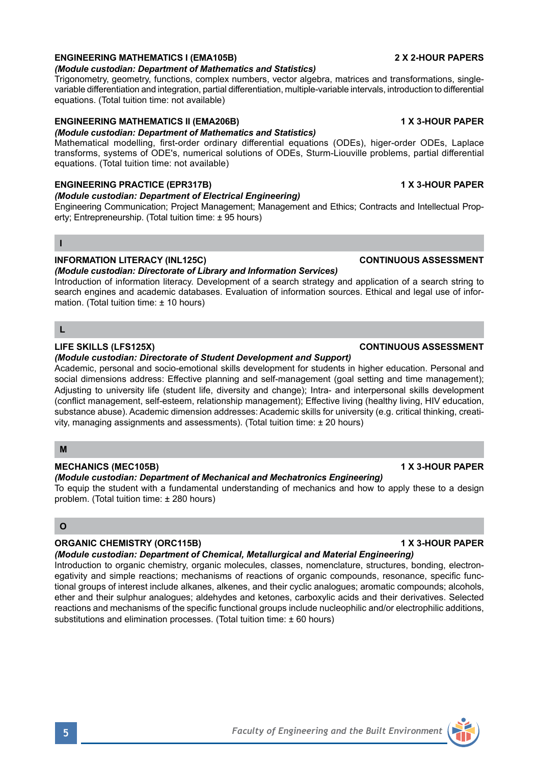# **ENGINEERING MATHEMATICS I (EMA105B) 2 X 2-HOUR PAPERS**

## *(Module custodian: Department of Mathematics and Statistics)*

Trigonometry, geometry, functions, complex numbers, vector algebra, matrices and transformations, singlevariable differentiation and integration, partial differentiation, multiple-variable intervals, introduction to differential equations. (Total tuition time: not available)

# **ENGINEERING MATHEMATICS II (EMA206B) 1 X 3-HOUR PAPER**

## *(Module custodian: Department of Mathematics and Statistics)*

Mathematical modelling, first-order ordinary differential equations (ODEs), higer-order ODEs, Laplace transforms, systems of ODE's, numerical solutions of ODEs, Sturm-Liouville problems, partial differential equations. (Total tuition time: not available)

# **ENGINEERING PRACTICE (EPR317B) 1 X 3-HOUR PAPER**

# *(Module custodian: Department of Electrical Engineering)*

Engineering Communication; Project Management; Management and Ethics; Contracts and Intellectual Property; Entrepreneurship. (Total tuition time: ± 95 hours)

## **I**

# **INFORMATION LITERACY (INL125C) CONTINUOUS ASSESSMENT**

*(Module custodian: Directorate of Library and Information Services)*

Introduction of information literacy. Development of a search strategy and application of a search string to search engines and academic databases. Evaluation of information sources. Ethical and legal use of information. (Total tuition time: ± 10 hours)

## **L**

## **LIFE SKILLS (LFS125X) CONTINUOUS ASSESSMENT**

## *(Module custodian: Directorate of Student Development and Support)*

Academic, personal and socio-emotional skills development for students in higher education. Personal and social dimensions address: Effective planning and self-management (goal setting and time management); Adjusting to university life (student life, diversity and change); Intra- and interpersonal skills development (conflict management, self-esteem, relationship management); Effective living (healthy living, HIV education, substance abuse). Academic dimension addresses: Academic skills for university (e.g. critical thinking, creativity, managing assignments and assessments). (Total tuition time: ± 20 hours)

## **M**

## **MECHANICS (MEC105B) 1 X 3-HOUR PAPER**

## *(Module custodian: Department of Mechanical and Mechatronics Engineering)*

To equip the student with a fundamental understanding of mechanics and how to apply these to a design problem. (Total tuition time: ± 280 hours)

# **O**

# **ORGANIC CHEMISTRY (ORC115B) 1 X 3-HOUR PAPER**

# *(Module custodian: Department of Chemical, Metallurgical and Material Engineering)*

Introduction to organic chemistry, organic molecules, classes, nomenclature, structures, bonding, electronegativity and simple reactions; mechanisms of reactions of organic compounds, resonance, specific functional groups of interest include alkanes, alkenes, and their cyclic analogues; aromatic compounds; alcohols, ether and their sulphur analogues; aldehydes and ketones, carboxylic acids and their derivatives. Selected reactions and mechanisms of the specific functional groups include nucleophilic and/or electrophilic additions, substitutions and elimination processes. (Total tuition time: ± 60 hours)

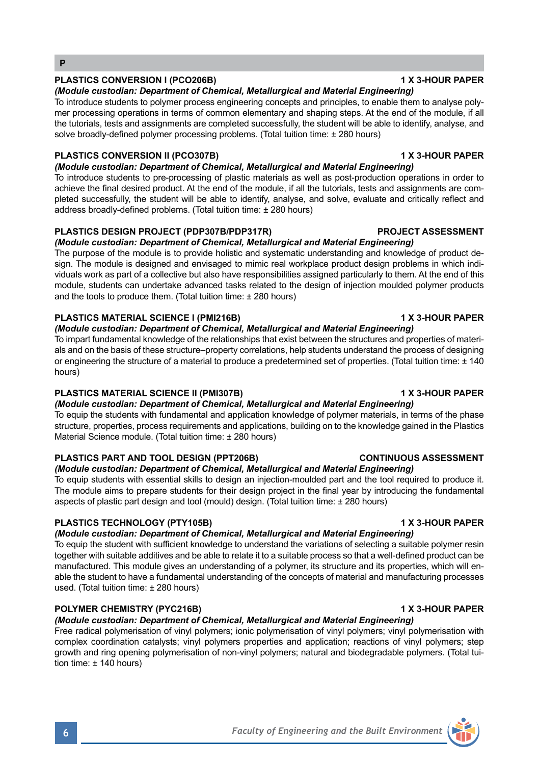# PLASTICS CONVERSION I (PCO206B) **1 X 3-HOUR PAPER**

# *(Module custodian: Department of Chemical, Metallurgical and Material Engineering)* To introduce students to polymer process engineering concepts and principles, to enable them to analyse poly-

mer processing operations in terms of common elementary and shaping steps. At the end of the module, if all the tutorials, tests and assignments are completed successfully, the student will be able to identify, analyse, and solve broadly-defined polymer processing problems. (Total tuition time: ± 280 hours)

## **PLASTICS CONVERSION II (PCO307B) 1 X 3-HOUR PAPER**

# *(Module custodian: Department of Chemical, Metallurgical and Material Engineering)*

To introduce students to pre-processing of plastic materials as well as post-production operations in order to achieve the final desired product. At the end of the module, if all the tutorials, tests and assignments are completed successfully, the student will be able to identify, analyse, and solve, evaluate and critically reflect and address broadly-defined problems. (Total tuition time: ± 280 hours)

## **PLASTICS DESIGN PROJECT (PDP307B/PDP317R) PROJECT ASSESSMENT**

## *(Module custodian: Department of Chemical, Metallurgical and Material Engineering)*

The purpose of the module is to provide holistic and systematic understanding and knowledge of product design. The module is designed and envisaged to mimic real workplace product design problems in which individuals work as part of a collective but also have responsibilities assigned particularly to them. At the end of this module, students can undertake advanced tasks related to the design of injection moulded polymer products and the tools to produce them. (Total tuition time: ± 280 hours)

# PLASTICS MATERIAL SCIENCE I (PMI216B) **1 X 3-HOUR PAPER**

*(Module custodian: Department of Chemical, Metallurgical and Material Engineering)*

To impart fundamental knowledge of the relationships that exist between the structures and properties of materials and on the basis of these structure–property correlations, help students understand the process of designing or engineering the structure of a material to produce a predetermined set of properties. (Total tuition time: ± 140 hours)

# **PLASTICS MATERIAL SCIENCE II (PMI307B) 1 X 3-HOUR PAPER**

*(Module custodian: Department of Chemical, Metallurgical and Material Engineering)*

To equip the students with fundamental and application knowledge of polymer materials, in terms of the phase structure, properties, process requirements and applications, building on to the knowledge gained in the Plastics Material Science module. (Total tuition time: ± 280 hours)

# **PLASTICS PART AND TOOL DESIGN (PPT206B) CONTINUOUS ASSESSMENT**

# *(Module custodian: Department of Chemical, Metallurgical and Material Engineering)*

To equip students with essential skills to design an injection-moulded part and the tool required to produce it. The module aims to prepare students for their design project in the final year by introducing the fundamental aspects of plastic part design and tool (mould) design. (Total tuition time: ± 280 hours)

# **PLASTICS TECHNOLOGY (PTY105B) 1 X 3-HOUR PAPER**

# *(Module custodian: Department of Chemical, Metallurgical and Material Engineering)*

To equip the student with sufficient knowledge to understand the variations of selecting a suitable polymer resin together with suitable additives and be able to relate it to a suitable process so that a well-defined product can be manufactured. This module gives an understanding of a polymer, its structure and its properties, which will enable the student to have a fundamental understanding of the concepts of material and manufacturing processes used. (Total tuition time: ± 280 hours)

# **POLYMER CHEMISTRY (PYC216B) 1 X 3-HOUR PAPER**

# *(Module custodian: Department of Chemical, Metallurgical and Material Engineering)*

Free radical polymerisation of vinyl polymers; ionic polymerisation of vinyl polymers; vinyl polymerisation with complex coordination catalysts; vinyl polymers properties and application; reactions of vinyl polymers; step growth and ring opening polymerisation of non-vinyl polymers; natural and biodegradable polymers. (Total tuition time: ± 140 hours)